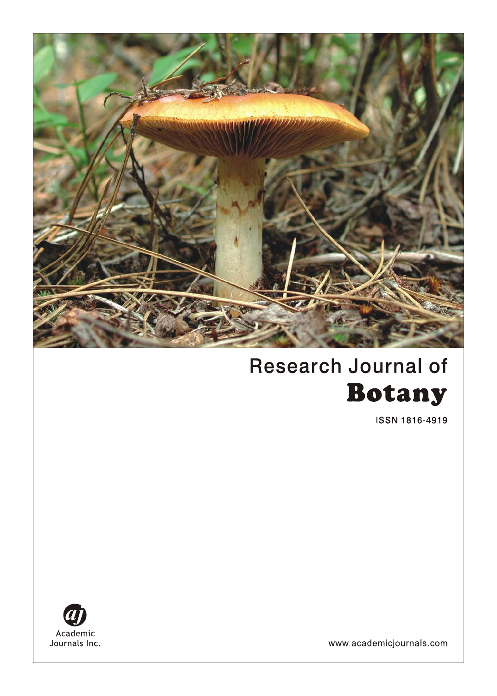

# **Research Journal of Botany**

**ISSN 1816-4919** 



www.academicjournals.com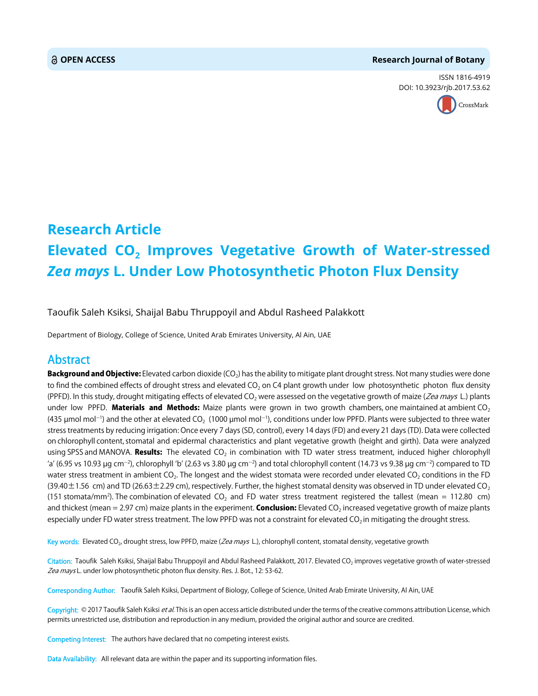#### **OPEN ACCESS Research Journal of Botany**

ISSN 1816-4919 DOI: 10.3923/rjb.2017.53.62



## **Research Article Elevated CO<sub>2</sub> Improves Vegetative Growth of Water-stressed** *Zea mays* **L. Under Low Photosynthetic Photon Flux Density**

Taoufik Saleh Ksiksi, Shaijal Babu Thruppoyil and Abdul Rasheed Palakkott

Department of Biology, College of Science, United Arab Emirates University, Al Ain, UAE

### Abstract

**Background and Objective:** Elevated carbon dioxide (CO<sub>2</sub>) has the ability to mitigate plant drought stress. Not many studies were done to find the combined effects of drought stress and elevated CO<sub>2</sub> on C4 plant growth under low photosynthetic photon flux density (PPFD). In this study, drought mitigating effects of elevated CO<sub>2</sub> were assessed on the vegetative growth of maize (*Zea mays* L.) plants under low PPFD. Materials and Methods: Maize plants were grown in two growth chambers, one maintained at ambient  $CO<sub>2</sub>$ (435 µmol mol $^{-1}$ ) and the other at elevated CO $_2\,$  (1000 µmol mol $^{-1}$ ), conditions under low PPFD. Plants were subjected to three water stress treatments by reducing irrigation: Once every 7 days (SD, control), every 14 days (FD) and every 21 days (TD). Data were collected on chlorophyll content, stomatal and epidermal characteristics and plant vegetative growth (height and girth). Data were analyzed using SPSS and MANOVA. Results: The elevated  $CO<sub>2</sub>$  in combination with TD water stress treatment, induced higher chlorophyll 'a' (6.95 vs 10.93  $\mu$ g cm $^{-2}$ ), chlorophyll 'b' (2.63 vs 3.80  $\mu$ g cm $^{-2}$ ) and total chlorophyll content (14.73 vs 9.38  $\mu$ g cm $^{-2}$ ) compared to TD water stress treatment in ambient CO<sub>2</sub>. The longest and the widest stomata were recorded under elevated CO<sub>2</sub> conditions in the FD (39.40 $\pm$ 1.56 cm) and TD (26.63 $\pm$ 2.29 cm), respectively. Further, the highest stomatal density was observed in TD under elevated CO<sub>2</sub> (151 stomata/mm<sup>2</sup>). The combination of elevated  $CO_2$  and FD water stress treatment registered the tallest (mean = 112.80 cm) and thickest (mean = 2.97 cm) maize plants in the experiment. **Conclusion:** Elevated CO<sub>2</sub> increased vegetative growth of maize plants especially under FD water stress treatment. The low PPFD was not a constraint for elevated  $CO<sub>2</sub>$  in mitigating the drought stress.

Key words: Elevated CO<sub>2</sub>, drought stress, low PPFD, maize (Zea mays L.), chlorophyll content, stomatal density, vegetative growth

Citation: Taoufik Saleh Ksiksi, Shaijal Babu Thruppoyil and Abdul Rasheed Palakkott, 2017. Elevated CO<sub>2</sub> improves vegetative growth of water-stressed Zea mays L. under low photosynthetic photon flux density. Res. J. Bot., 12: 53-62.

Corresponding Author: Taoufik Saleh Ksiksi, Department of Biology, College of Science, United Arab Emirate University, Al Ain, UAE

Copyright: © 2017 Taoufik Saleh Ksiksi et al. This is an open access article distributed under the terms of the creative commons attribution License, which permits unrestricted use, distribution and reproduction in any medium, provided the original author and source are credited.

Competing Interest: The authors have declared that no competing interest exists.

Data Availability: All relevant data are within the paper and its supporting information files.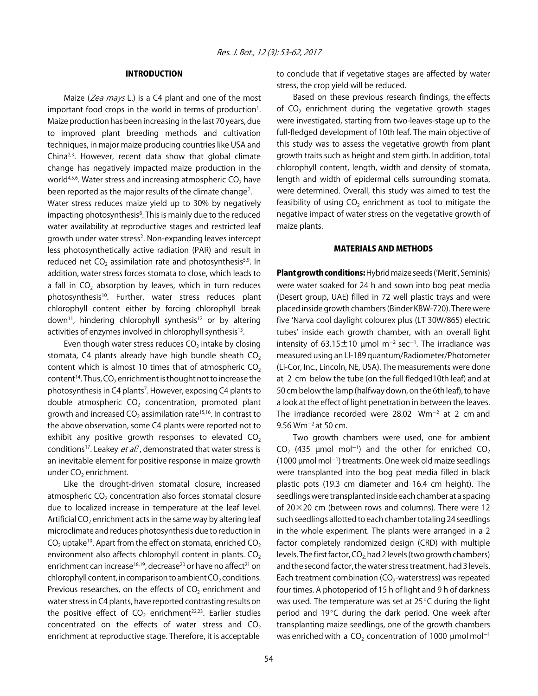#### INTRODUCTION

Maize (Zea mays L.) is a C4 plant and one of the most important food crops in the world in terms of production<sup>1</sup>. Maize production has been increasing in the last 70 years, due to improved plant breeding methods and cultivation techniques, in major maize producing countries like USA and China $2,3$ . However, recent data show that global climate change has negatively impacted maize production in the world<sup>4,5,6</sup>. Water stress and increasing atmospheric  $CO<sub>2</sub>$  have been reported as the major results of the climate change<sup>7</sup>.

Water stress reduces maize yield up to 30% by negatively impacting photosynthesis<sup>8</sup>. This is mainly due to the reduced water availability at reproductive stages and restricted leaf growth under water stress<sup>2</sup>. Non-expanding leaves intercept less photosynthetically active radiation (PAR) and result in reduced net  $CO<sub>2</sub>$  assimilation rate and photosynthesis<sup>5,9</sup>. In addition, water stress forces stomata to close, which leads to a fall in  $CO<sub>2</sub>$  absorption by leaves, which in turn reduces photosynthesis<sup>10</sup>. Further, water stress reduces plant chlorophyll content either by forcing chlorophyll break down<sup>11</sup>, hindering chlorophyll synthesis<sup>12</sup> or by altering activities of enzymes involved in chlorophyll synthesis<sup>13</sup>.

Even though water stress reduces  $CO<sub>2</sub>$  intake by closing stomata, C4 plants already have high bundle sheath  $CO<sub>2</sub>$ content which is almost 10 times that of atmospheric  $CO<sub>2</sub>$ content<sup>14</sup>. Thus,  $CO<sub>2</sub>$  enrichment is thought not to increase the photosynthesis in C4 plants<sup>7</sup>. However, exposing C4 plants to double atmospheric  $CO<sub>2</sub>$  concentration, promoted plant growth and increased  $CO<sub>2</sub>$  assimilation rate<sup>15,16</sup>. In contrast to the above observation, some C4 plants were reported not to exhibit any positive growth responses to elevated  $CO<sub>2</sub>$ conditions<sup>17</sup>. Leakey *et al.*<sup>7</sup>, demonstrated that water stress is an inevitable element for positive response in maize growth under CO<sub>2</sub> enrichment.

Like the drought-driven stomatal closure, increased atmospheric  $CO<sub>2</sub>$  concentration also forces stomatal closure due to localized increase in temperature at the leaf level. Artificial CO<sub>2</sub> enrichment acts in the same way by altering leaf microclimate and reduces photosynthesis due to reduction in  $CO<sub>2</sub>$  uptake<sup>10</sup>. Apart from the effect on stomata, enriched  $CO<sub>2</sub>$ environment also affects chlorophyll content in plants.  $CO<sub>2</sub>$ enrichment can increase<sup>18,19</sup>, decrease<sup>20</sup> or have no affect<sup>21</sup> on chlorophyll content, in comparison to ambient  $CO<sub>2</sub>$  conditions. Previous researches, on the effects of  $CO<sub>2</sub>$  enrichment and water stress in C4 plants, have reported contrasting results on the positive effect of  $CO<sub>2</sub>$  enrichment<sup>22,23</sup>. Earlier studies concentrated on the effects of water stress and  $CO<sub>2</sub>$ enrichment at reproductive stage. Therefore, it is acceptable

to conclude that if vegetative stages are affected by water stress, the crop yield will be reduced.

Based on these previous research findings, the effects of  $CO<sub>2</sub>$  enrichment during the vegetative growth stages were investigated, starting from two-leaves-stage up to the full-fledged development of 10th leaf. The main objective of this study was to assess the vegetative growth from plant growth traits such as height and stem girth. In addition, total chlorophyll content, length, width and density of stomata, length and width of epidermal cells surrounding stomata, were determined. Overall, this study was aimed to test the feasibility of using  $CO<sub>2</sub>$  enrichment as tool to mitigate the negative impact of water stress on the vegetative growth of maize plants.

#### MATERIALS AND METHODS

Plant growth conditions: Hybrid maize seeds ('Merit', Seminis) were water soaked for 24 h and sown into bog peat media (Desert group, UAE) filled in 72 well plastic trays and were placed inside growth chambers (Binder KBW-720). There were five ʻNarva cool daylight colourex plus (LT 30W/865) electric tubes' inside each growth chamber, with an overall light intensity of 63.15 $\pm$ 10 µmol m<sup>-2</sup> sec<sup>-1</sup>. The irradiance was measured using an LI-189 quantum/Radiometer/Photometer (Li-Cor, Inc., Lincoln, NE, USA). The measurements were done at 2 cm below the tube (on the full fledged10th leaf) and at 50 cm below the lamp (halfway down, on the 6th leaf), to have a look at the effect of light penetration in between the leaves. The irradiance recorded were  $28.02$  Wm<sup>-2</sup> at 2 cm and 9.56  $Wm^{-2}$  at 50 cm.

Two growth chambers were used, one for ambient CO<sub>2</sub> (435  $\mu$ mol mol<sup>-1</sup>) and the other for enriched CO<sub>2</sub>  $(1000 \mu$ mol mol<sup>-1</sup>) treatments. One week old maize seedlings were transplanted into the bog peat media filled in black plastic pots (19.3 cm diameter and 16.4 cm height). The seedlings were transplanted inside each chamber at a spacing of 20 $\times$ 20 cm (between rows and columns). There were 12 such seedlings allotted to each chamber totaling 24 seedlings in the whole experiment. The plants were arranged in a 2 factor completely randomized design (CRD) with multiple levels. The first factor,  $CO<sub>2</sub>$  had 2 levels (two growth chambers) and the second factor, the water stress treatment, had 3 levels. Each treatment combination ( $CO<sub>2</sub>$ -waterstress) was repeated four times. A photoperiod of 15 h of light and 9 h of darkness was used. The temperature was set at  $25^{\circ}$ C during the light period and 19°C during the dark period. One week after transplanting maize seedlings, one of the growth chambers was enriched with a CO<sub>2</sub> concentration of 1000  $\mu$ mol mol<sup>-1</sup>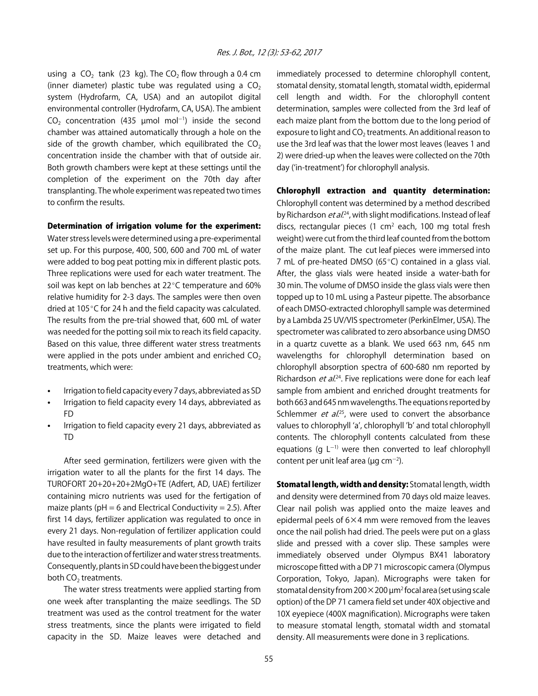using a  $CO<sub>2</sub>$  tank (23 kg). The  $CO<sub>2</sub>$  flow through a 0.4 cm (inner diameter) plastic tube was regulated using a  $CO<sub>2</sub>$ system (Hydrofarm, CA, USA) and an autopilot digital environmental controller (Hydrofarm, CA, USA). The ambient CO<sub>2</sub> concentration (435  $\mu$ mol mol<sup>-1</sup>) inside the second chamber was attained automatically through a hole on the side of the growth chamber, which equilibrated the  $CO<sub>2</sub>$ concentration inside the chamber with that of outside air. Both growth chambers were kept at these settings until the completion of the experiment on the 70th day after transplanting. The whole experiment was repeated two times to confirm the results.

#### Determination of irrigation volume for the experiment:

Water stress levels were determined using a pre-experimental set up. For this purpose, 400, 500, 600 and 700 mL of water were added to bog peat potting mix in different plastic pots. Three replications were used for each water treatment. The soil was kept on lab benches at  $22^{\circ}$ C temperature and 60% relative humidity for 2-3 days. The samples were then oven dried at 105 $^{\circ}$ C for 24 h and the field capacity was calculated. The results from the pre-trial showed that, 600 mL of water was needed for the potting soil mix to reach its field capacity. Based on this value, three different water stress treatments were applied in the pots under ambient and enriched  $CO<sub>2</sub>$ treatments, which were:

- Irrigation to field capacity every 7 days, abbreviated as SD
- Irrigation to field capacity every 14 days, abbreviated as FD
- Irrigation to field capacity every 21 days, abbreviated as TD

After seed germination, fertilizers were given with the irrigation water to all the plants for the first 14 days. The TUROFORT 20+20+20+2MgO+TE (Adfert, AD, UAE) fertilizer containing micro nutrients was used for the fertigation of maize plants ( $pH = 6$  and Electrical Conductivity = 2.5). After first 14 days, fertilizer application was regulated to once in every 21 days. Non-regulation of fertilizer application could have resulted in faulty measurements of plant growth traits due to the interaction of fertilizer and water stress treatments. Consequently, plants in SD could have been the biggest under both  $CO<sub>2</sub>$  treatments.

The water stress treatments were applied starting from one week after transplanting the maize seedlings. The SD treatment was used as the control treatment for the water stress treatments, since the plants were irrigated to field capacity in the SD. Maize leaves were detached and

immediately processed to determine chlorophyll content, stomatal density, stomatal length, stomatal width, epidermal cell length and width. For the chlorophyll content determination, samples were collected from the 3rd leaf of each maize plant from the bottom due to the long period of exposure to light and  $CO<sub>2</sub>$  treatments. An additional reason to use the 3rd leaf was that the lower most leaves (leaves 1 and 2) were dried-up when the leaves were collected on the 70th day (ʻin-treatment') for chlorophyll analysis.

Chlorophyll extraction and quantity determination: Chlorophyll content was determined by a method described by Richardson et al.<sup>24</sup>, with slight modifications. Instead of leaf discs, rectangular pieces (1 cm<sup>2</sup> each, 100 mg total fresh weight) were cut from the third leaf counted from the bottom of the maize plant. The cut leaf pieces were immersed into 7 mL of pre-heated DMSO (65 $\degree$ C) contained in a glass vial. After, the glass vials were heated inside a water-bath for 30 min. The volume of DMSO inside the glass vials were then topped up to 10 mL using a Pasteur pipette. The absorbance of each DMSO-extracted chlorophyll sample was determined by a Lambda 25 UV/VIS spectrometer (PerkinElmer, USA). The spectrometer was calibrated to zero absorbance using DMSO in a quartz cuvette as a blank. We used 663 nm, 645 nm wavelengths for chlorophyll determination based on chlorophyll absorption spectra of 600-680 nm reported by Richardson *et al.*<sup>24</sup>. Five replications were done for each leaf sample from ambient and enriched drought treatments for both 663 and 645 nm wavelengths. The equations reported by Schlemmer et al.<sup>25</sup>, were used to convert the absorbance values to chlorophyll ʻa', chlorophyll 'b' and total chlorophyll contents. The chlorophyll contents calculated from these equations (g  $L^{-1}$ ) were then converted to leaf chlorophyll content per unit leaf area ( $\mu$ g cm<sup>-2</sup>).

Stomatal length, width and density: Stomatal length, width and density were determined from 70 days old maize leaves. Clear nail polish was applied onto the maize leaves and epidermal peels of 6×4 mm were removed from the leaves once the nail polish had dried. The peels were put on a glass slide and pressed with a cover slip. These samples were immediately observed under Olympus BX41 laboratory microscope fitted with a DP 71 microscopic camera (Olympus Corporation, Tokyo, Japan). Micrographs were taken for stomatal density from 200×200 µm2 focal area (set using scale option) of the DP 71 camera field set under 40X objective and 10X eyepiece (400X magnification). Micrographs were taken to measure stomatal length, stomatal width and stomatal density. All measurements were done in 3 replications.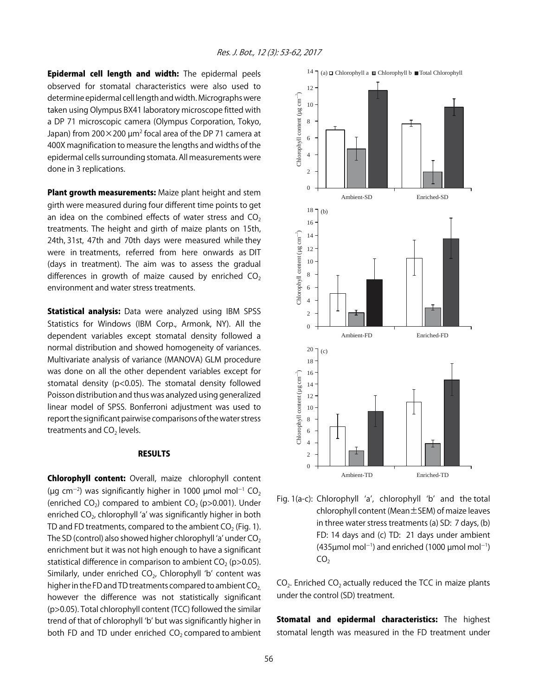Epidermal cell length and width: The epidermal peels observed for stomatal characteristics were also used to determine epidermal cell length and width. Micrographs were taken using Olympus BX41 laboratory microscope fitted with a DP 71 microscopic camera (Olympus Corporation, Tokyo, Japan) from 200 $\times$ 200  $\mu$ m<sup>2</sup> focal area of the DP 71 camera at 400X magnification to measure the lengths and widths of the epidermal cells surrounding stomata. All measurements were done in 3 replications.

Plant growth measurements: Maize plant height and stem girth were measured during four different time points to get an idea on the combined effects of water stress and  $CO<sub>2</sub>$ treatments. The height and girth of maize plants on 15th, 24th, 31st, 47th and 70th days were measured while they were in treatments, referred from here onwards as DIT (days in treatment). The aim was to assess the gradual differences in growth of maize caused by enriched  $CO<sub>2</sub>$ environment and water stress treatments.

Statistical analysis: Data were analyzed using IBM SPSS Statistics for Windows (IBM Corp., Armonk, NY). All the dependent variables except stomatal density followed a normal distribution and showed homogeneity of variances. Multivariate analysis of variance (MANOVA) GLM procedure was done on all the other dependent variables except for stomatal density (p<0.05). The stomatal density followed Poisson distribution and thus was analyzed using generalized linear model of SPSS. Bonferroni adjustment was used to report the significant pairwise comparisons of the water stress treatments and  $CO<sub>2</sub>$  levels.

#### RESULTS

Chlorophyll content: Overall, maize chlorophyll content (µg cm<sup>-2</sup>) was significantly higher in 1000 µmol mol<sup>-1</sup> CO<sub>2</sub> (enriched CO<sub>2</sub>) compared to ambient CO<sub>2</sub> (p $>0.001$ ). Under enriched  $CO<sub>2</sub>$ , chlorophyll 'a' was significantly higher in both TD and FD treatments, compared to the ambient  $CO<sub>2</sub>$  (Fig. 1). The SD (control) also showed higher chlorophyll 'a' under  $CO<sub>2</sub>$ enrichment but it was not high enough to have a significant statistical difference in comparison to ambient  $CO<sub>2</sub>$  (p>0.05). Similarly, under enriched  $CO<sub>2</sub>$ , Chlorophyll 'b' content was higher in the FD and TD treatments compared to ambient  $CO<sub>2</sub>$ however the difference was not statistically significant (p>0.05). Total chlorophyll content (TCC) followed the similar trend of that of chlorophyll ʻb' but was significantly higher in both FD and TD under enriched  $CO<sub>2</sub>$  compared to ambient



Fig. 1(a-c): Chlorophyll ʻa', chlorophyll ʻb' and the total chlorophyll content (Mean±SEM) of maize leaves in three water stress treatments (a) SD: 7 days, (b) FD: 14 days and (c) TD: 21 days under ambient  $(435 \mu \text{mol} \text{ mol}^{-1})$  and enriched (1000  $\mu \text{mol} \text{mol}^{-1}$ )  $CO<sub>2</sub>$ 

 $CO<sub>2</sub>$ . Enriched  $CO<sub>2</sub>$  actually reduced the TCC in maize plants under the control (SD) treatment.

Stomatal and epidermal characteristics: The highest stomatal length was measured in the FD treatment under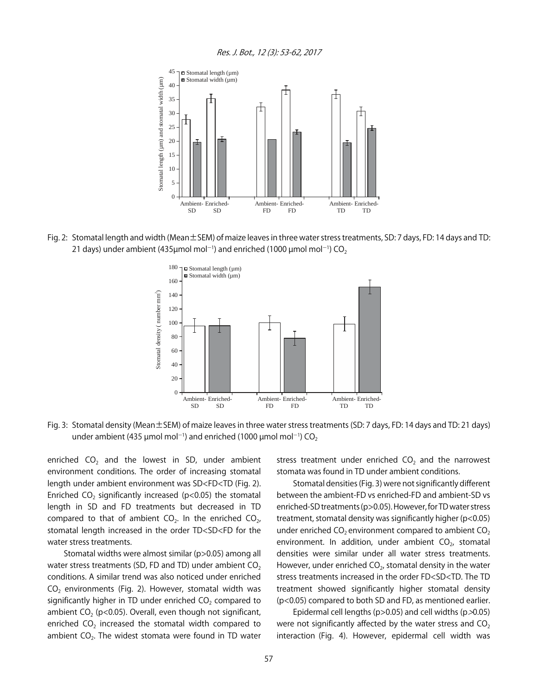

Fig. 2: Stomatal length and width (Mean±SEM) of maize leaves in three water stress treatments, SD: 7 days, FD: 14 days and TD: 21 days) under ambient (435µmol mol<sup>-1</sup>) and enriched (1000 µmol mol<sup>-1</sup>) CO<sub>2</sub>



Fig. 3: Stomatal density (Mean±SEM) of maize leaves in three water stress treatments (SD: 7 days, FD: 14 days and TD: 21 days) under ambient (435 µmol mol<sup>-1</sup>) and enriched (1000 µmol mol<sup>-1</sup>) CO<sub>2</sub>

enriched  $CO<sub>2</sub>$  and the lowest in SD, under ambient environment conditions. The order of increasing stomatal length under ambient environment was SD<FD<TD (Fig. 2). Enriched CO<sub>2</sub> significantly increased ( $p$ <0.05) the stomatal length in SD and FD treatments but decreased in TD compared to that of ambient  $CO<sub>2</sub>$ . In the enriched  $CO<sub>2</sub>$ , stomatal length increased in the order TD<SD<FD for the water stress treatments.

Stomatal widths were almost similar (p>0.05) among all water stress treatments (SD, FD and TD) under ambient  $CO<sub>2</sub>$ conditions. A similar trend was also noticed under enriched  $CO<sub>2</sub>$  environments (Fig. 2). However, stomatal width was significantly higher in TD under enriched  $CO<sub>2</sub>$  compared to ambient  $CO<sub>2</sub>$  (p<0.05). Overall, even though not significant, enriched  $CO<sub>2</sub>$  increased the stomatal width compared to ambient  $CO<sub>2</sub>$ . The widest stomata were found in TD water stress treatment under enriched  $CO<sub>2</sub>$  and the narrowest stomata was found in TD under ambient conditions.

Stomatal densities (Fig. 3) were not significantly different between the ambient-FD vs enriched-FD and ambient-SD vs enriched-SD treatments (p>0.05). However, for TD water stress treatment, stomatal density was significantly higher (p<0.05) under enriched  $CO<sub>2</sub>$  environment compared to ambient  $CO<sub>2</sub>$ environment. In addition, under ambient  $CO<sub>2</sub>$ , stomatal densities were similar under all water stress treatments. However, under enriched  $CO<sub>2</sub>$ , stomatal density in the water stress treatments increased in the order FD<SD<TD. The TD treatment showed significantly higher stomatal density (p<0.05) compared to both SD and FD, as mentioned earlier.

Epidermal cell lengths ( $p > 0.05$ ) and cell widths ( $p > 0.05$ ) were not significantly affected by the water stress and  $CO<sub>2</sub>$ interaction (Fig. 4). However, epidermal cell width was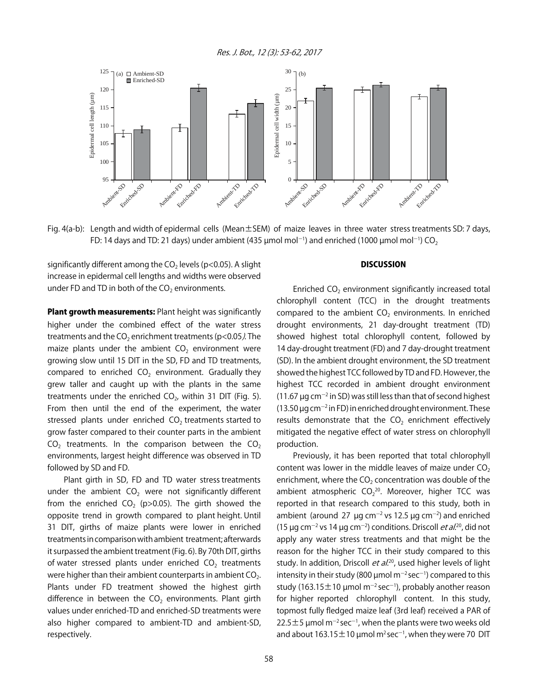Res. J. Bot., 12 (3): 53-62, 2017



Fig. 4(a-b): Length and width of epidermal cells (Mean±SEM) of maize leaves in three water stress treatments SD: 7 days, FD: 14 days and TD: 21 days) under ambient (435  $\mu$ mol mol $^{-1}$ ) and enriched (1000  $\mu$ mol mol $^{-1}$ ) CO $_2$ 

significantly different among the  $CO<sub>2</sub>$  levels (p<0.05). A slight increase in epidermal cell lengths and widths were observed under FD and TD in both of the  $CO<sub>2</sub>$  environments.

Plant growth measurements: Plant height was significantly higher under the combined effect of the water stress treatments and the  $CO<sub>2</sub>$  enrichment treatments (p<0.05). The maize plants under the ambient  $CO<sub>2</sub>$  environment were growing slow until 15 DIT in the SD, FD and TD treatments, compared to enriched  $CO<sub>2</sub>$  environment. Gradually they grew taller and caught up with the plants in the same treatments under the enriched  $CO<sub>2</sub>$ , within 31 DIT (Fig. 5). From then until the end of the experiment, the water stressed plants under enriched  $CO<sub>2</sub>$  treatments started to grow faster compared to their counter parts in the ambient  $CO<sub>2</sub>$  treatments. In the comparison between the  $CO<sub>2</sub>$ environments, largest height difference was observed in TD followed by SD and FD.

Plant girth in SD, FD and TD water stress treatments under the ambient  $CO<sub>2</sub>$  were not significantly different from the enriched CO<sub>2</sub> (p $>0.05$ ). The girth showed the opposite trend in growth compared to plant height. Until 31 DIT, girths of maize plants were lower in enriched treatments in comparison with ambient treatment; afterwards it surpassed the ambient treatment (Fig. 6). By 70th DIT, girths of water stressed plants under enriched  $CO<sub>2</sub>$  treatments were higher than their ambient counterparts in ambient  $CO<sub>2</sub>$ . Plants under FD treatment showed the highest girth difference in between the  $CO<sub>2</sub>$  environments. Plant girth values under enriched-TD and enriched-SD treatments were also higher compared to ambient-TD and ambient-SD, respectively.

#### **DISCUSSION**

Enriched  $CO<sub>2</sub>$  environment significantly increased total chlorophyll content (TCC) in the drought treatments compared to the ambient  $CO<sub>2</sub>$  environments. In enriched drought environments, 21 day-drought treatment (TD) showed highest total chlorophyll content, followed by 14 day-drought treatment (FD) and 7 day-drought treatment (SD). In the ambient drought environment, the SD treatment showed the highest TCC followed by TD and FD. However, the highest TCC recorded in ambient drought environment  $(11.67 \,\mu g \, cm^{-2}$  in SD) was still less than that of second highest (13.50  $\mu$ g cm $^{-2}$  in FD) in enriched drought environment. These results demonstrate that the  $CO<sub>2</sub>$  enrichment effectively mitigated the negative effect of water stress on chlorophyll production.

Previously, it has been reported that total chlorophyll content was lower in the middle leaves of maize under  $CO<sub>2</sub>$ enrichment, where the  $CO<sub>2</sub>$  concentration was double of the ambient atmospheric  $CO<sub>2</sub>^{20}$ . Moreover, higher TCC was reported in that research compared to this study, both in ambient (around 27  $\mu$ g cm<sup>-2</sup> vs 12.5  $\mu$ g cm<sup>-2</sup>) and enriched (15 µg cm<sup>-2</sup> vs 14 µg cm<sup>-2</sup>) conditions. Driscoll *et al*.<sup>20</sup>, did not apply any water stress treatments and that might be the reason for the higher TCC in their study compared to this study. In addition, Driscoll  $et al.<sup>20</sup>$ , used higher levels of light intensity in their study (800  $\mu$ mol m<sup>-2</sup> sec<sup>-1</sup>) compared to this study (163.15  $\pm$  10 µmol m<sup>-2</sup> sec<sup>-1</sup>), probably another reason for higher reported chlorophyll content. In this study, topmost fully fledged maize leaf (3rd leaf) received a PAR of  $22.5 \pm 5$  µmol m<sup>-2</sup> sec<sup>-1</sup>, when the plants were two weeks old and about 163.15 $\pm$ 10 µmol m<sup>2</sup> sec<sup>-1</sup>, when they were 70 DIT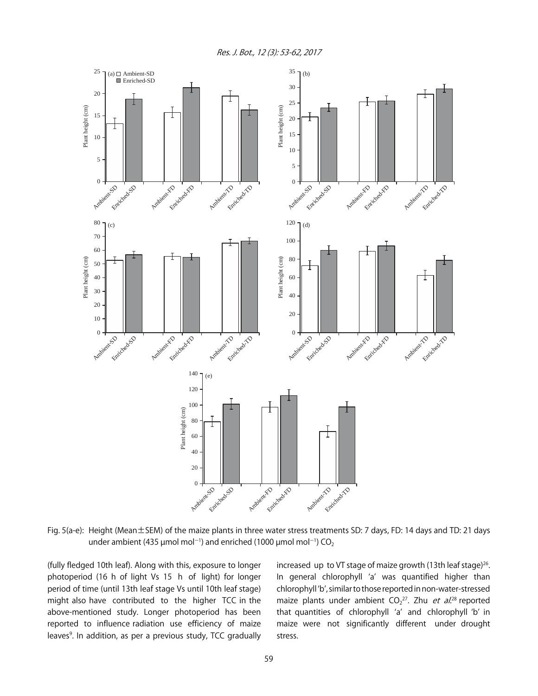Res. J. Bot., 12 (3): 53-62, 2017



Fig. 5(a-e): Height (Mean±SEM) of the maize plants in three water stress treatments SD: 7 days, FD: 14 days and TD: 21 days under ambient (435 µmol mol<sup>-1</sup>) and enriched (1000 µmol mol<sup>-1</sup>) CO<sub>2</sub>

(fully fledged 10th leaf). Along with this, exposure to longer photoperiod (16 h of light Vs 15 h of light) for longer period of time (until 13th leaf stage Vs until 10th leaf stage) might also have contributed to the higher TCC in the above-mentioned study. Longer photoperiod has been reported to influence radiation use efficiency of maize leaves<sup>9</sup>. In addition, as per a previous study, TCC gradually

increased up to VT stage of maize growth (13th leaf stage)<sup>26</sup>. In general chlorophyll ʻa' was quantified higher than chlorophyll ʻb', similar to those reported in non-water-stressed maize plants under ambient CO<sub>2</sub><sup>27</sup>. Zhu *et al*.<sup>28</sup> reported that quantities of chlorophyll ʻa' and chlorophyll ʻb' in maize were not significantly different under drought stress.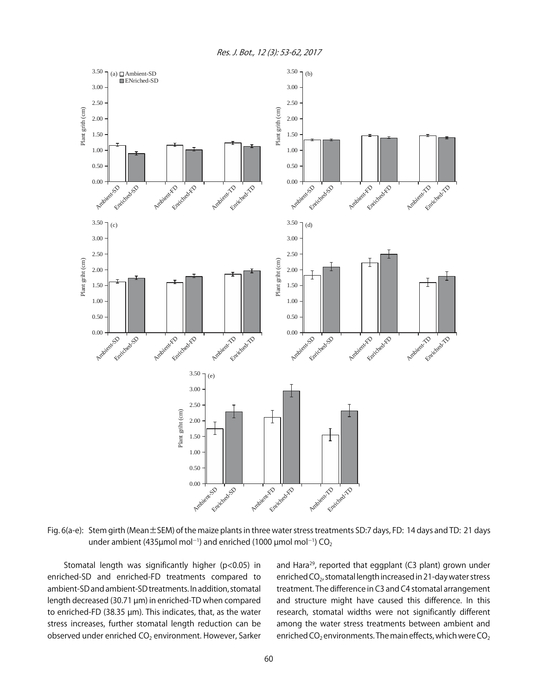Res. J. Bot., 12 (3): 53-62, 2017



Fig. 6(a-e): Stem girth (Mean±SEM) of the maize plants in three water stress treatments SD:7 days, FD: 14 days and TD: 21 days under ambient (435µmol mol<sup>-1</sup>) and enriched (1000 µmol mol<sup>-1</sup>) CO<sub>2</sub>

Stomatal length was significantly higher (p<0.05) in enriched-SD and enriched-FD treatments compared to ambient-SD and ambient-SD treatments. In addition, stomatal length decreased (30.71 µm) in enriched-TD when compared to enriched-FD (38.35 µm). This indicates, that, as the water stress increases, further stomatal length reduction can be observed under enriched CO<sub>2</sub> environment. However, Sarker and Hara<sup>29</sup>, reported that eggplant (C3 plant) grown under enriched CO<sub>2</sub>, stomatal length increased in 21-day water stress treatment. The difference in C3 and C4 stomatal arrangement and structure might have caused this difference. In this research, stomatal widths were not significantly different among the water stress treatments between ambient and enriched CO<sub>2</sub> environments. The main effects, which were CO<sub>2</sub>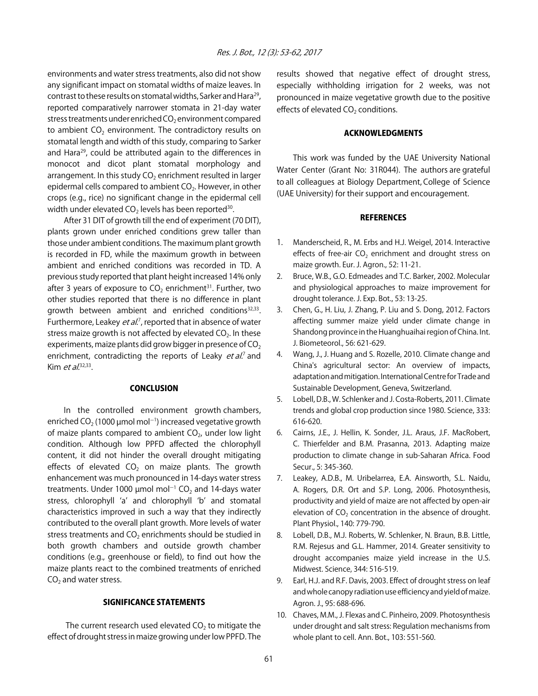environments and water stress treatments, also did not show any significant impact on stomatal widths of maize leaves. In contrast to these results on stomatal widths, Sarker and Hara<sup>29</sup>, reported comparatively narrower stomata in 21-day water stress treatments under enriched  $CO<sub>2</sub>$  environment compared to ambient  $CO<sub>2</sub>$  environment. The contradictory results on stomatal length and width of this study, comparing to Sarker and Hara29, could be attributed again to the differences in monocot and dicot plant stomatal morphology and arrangement. In this study  $CO<sub>2</sub>$  enrichment resulted in larger epidermal cells compared to ambient CO<sub>2</sub>. However, in other crops (e.g., rice) no significant change in the epidermal cell width under elevated  $CO<sub>2</sub>$  levels has been reported<sup>30</sup>.

After 31 DIT of growth till the end of experiment (70 DIT), plants grown under enriched conditions grew taller than those under ambient conditions. The maximum plant growth is recorded in FD, while the maximum growth in between ambient and enriched conditions was recorded in TD. A previous study reported that plant height increased 14% only after 3 years of exposure to  $CO<sub>2</sub>$  enrichment<sup>31</sup>. Further, two other studies reported that there is no difference in plant growth between ambient and enriched conditions $32,33$ . Furthermore, Leakey *et al.*<sup>7</sup>, reported that in absence of water stress maize growth is not affected by elevated  $CO<sub>2</sub>$ . In these experiments, maize plants did grow bigger in presence of  $CO<sub>2</sub>$ enrichment, contradicting the reports of Leaky *et al.*<sup>7</sup> and Kim et  $aL^{32,33}$ .

#### **CONCLUSION**

 In the controlled environment growth chambers, enriched CO $_2$  (1000 µmol mol $^{\rm -1)}$  increased vegetative growth of maize plants compared to ambient  $CO<sub>2</sub>$ , under low light condition. Although low PPFD affected the chlorophyll content, it did not hinder the overall drought mitigating effects of elevated  $CO<sub>2</sub>$  on maize plants. The growth enhancement was much pronounced in 14-days water stress treatments. Under 1000  $\mu$ mol mol<sup>-1</sup> CO<sub>2</sub> and 14-days water stress, chlorophyll ʻa' and chlorophyll ʻb' and stomatal characteristics improved in such a way that they indirectly contributed to the overall plant growth. More levels of water stress treatments and  $CO<sub>2</sub>$  enrichments should be studied in both growth chambers and outside growth chamber conditions (e.g., greenhouse or field), to find out how the maize plants react to the combined treatments of enriched  $CO<sub>2</sub>$  and water stress.

#### SIGNIFICANCE STATEMENTS

The current research used elevated  $CO<sub>2</sub>$  to mitigate the effect of drought stress in maize growing under low PPFD. The results showed that negative effect of drought stress, especially withholding irrigation for 2 weeks, was not pronounced in maize vegetative growth due to the positive effects of elevated  $CO<sub>2</sub>$  conditions.

#### ACKNOWLEDGMENTS

This work was funded by the UAE University National Water Center (Grant No: 31R044). The authors are grateful to all colleagues at Biology Department, College of Science (UAE University) for their support and encouragement.

#### REFERENCES

- 1. Manderscheid, R., M. Erbs and H.J. Weigel, 2014. Interactive effects of free-air CO<sub>2</sub> enrichment and drought stress on maize growth. Eur. J. Agron., 52: 11-21.
- 2. Bruce, W.B., G.O. Edmeades and T.C. Barker, 2002. Molecular and physiological approaches to maize improvement for drought tolerance. J. Exp. Bot., 53: 13-25.
- 3. Chen, G., H. Liu, J. Zhang, P. Liu and S. Dong, 2012. Factors affecting summer maize yield under climate change in Shandong province in the Huanghuaihai region of China. Int. J. Biometeorol., 56: 621-629.
- 4. Wang, J., J. Huang and S. Rozelle, 2010. Climate change and China's agricultural sector: An overview of impacts, adaptation and mitigation. International Centre for Trade and Sustainable Development, Geneva, Switzerland.
- 5. Lobell, D.B., W. Schlenker and J. Costa-Roberts, 2011. Climate trends and global crop production since 1980. Science, 333: 616-620.
- 6. Cairns, J.E., J. Hellin, K. Sonder, J.L. Araus, J.F. MacRobert, C. Thierfelder and B.M. Prasanna, 2013. Adapting maize production to climate change in sub-Saharan Africa. Food Secur., 5: 345-360.
- 7. Leakey, A.D.B., M. Uribelarrea, E.A. Ainsworth, S.L. Naidu, A. Rogers, D.R. Ort and S.P. Long, 2006. Photosynthesis, productivity and yield of maize are not affected by open-air elevation of  $CO<sub>2</sub>$  concentration in the absence of drought. Plant Physiol., 140: 779-790.
- 8. Lobell, D.B., M.J. Roberts, W. Schlenker, N. Braun, B.B. Little, R.M. Rejesus and G.L. Hammer, 2014. Greater sensitivity to drought accompanies maize yield increase in the U.S. Midwest. Science, 344: 516-519.
- 9. Earl, H.J. and R.F. Davis, 2003. Effect of drought stress on leaf and whole canopy radiation use efficiency and yield of maize. Agron. J., 95: 688-696.
- 10. Chaves, M.M., J. Flexas and C. Pinheiro, 2009. Photosynthesis under drought and salt stress: Regulation mechanisms from whole plant to cell. Ann. Bot., 103: 551-560.